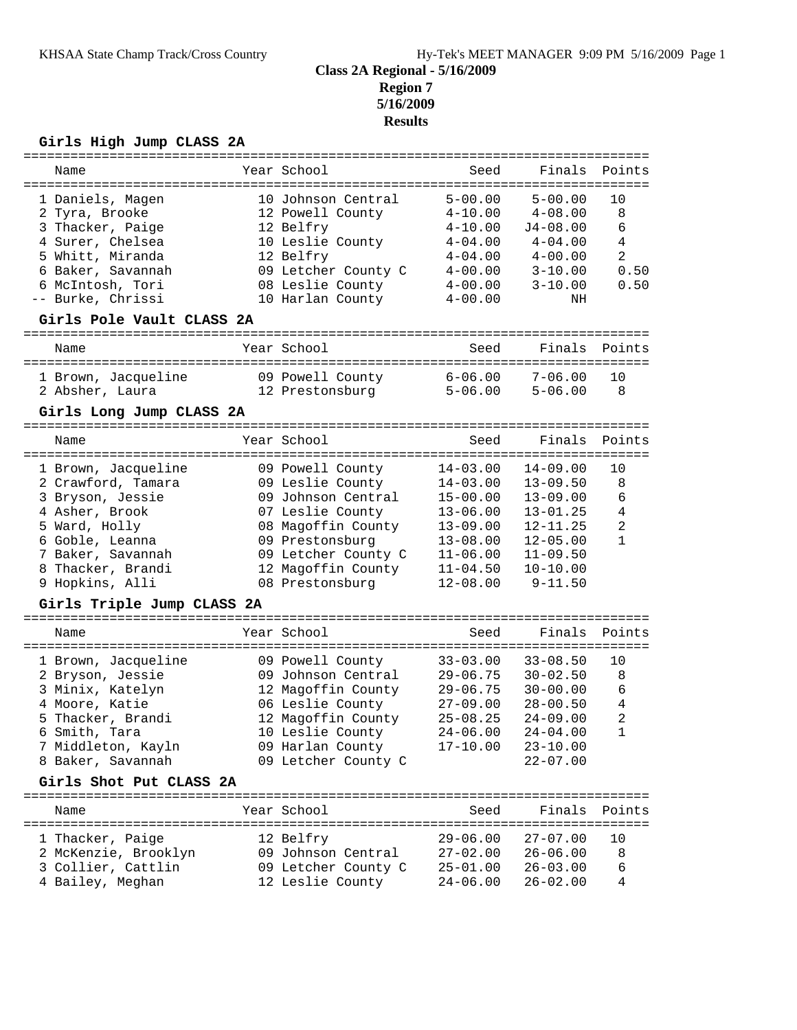# **Class 2A Regional - 5/16/2009 Region 7 5/16/2009**

**Results**

## **Girls High Jump CLASS 2A**

| ===========                                                                                                                                                                               |                                                                                                                                                                                         |                                                                                                                                              |                                                                                                                                             |                                                                  |  |  |  |
|-------------------------------------------------------------------------------------------------------------------------------------------------------------------------------------------|-----------------------------------------------------------------------------------------------------------------------------------------------------------------------------------------|----------------------------------------------------------------------------------------------------------------------------------------------|---------------------------------------------------------------------------------------------------------------------------------------------|------------------------------------------------------------------|--|--|--|
| Name                                                                                                                                                                                      | Year School                                                                                                                                                                             | Seed                                                                                                                                         | Finals                                                                                                                                      | Points                                                           |  |  |  |
| 1 Daniels, Magen<br>2 Tyra, Brooke<br>3 Thacker, Paige<br>4 Surer, Chelsea<br>5 Whitt, Miranda<br>6 Baker, Savannah<br>6 McIntosh, Tori<br>-- Burke, Chrissi                              | 10 Johnson Central<br>12 Powell County<br>12 Belfry<br>10 Leslie County<br>12 Belfry<br>09 Letcher County C<br>08 Leslie County<br>10 Harlan County                                     | $5 - 00.00$<br>$4 - 10.00$<br>$4 - 10.00$<br>$4 - 04.00$<br>$4 - 04.00$<br>$4 - 00.00$<br>$4 - 00.00$<br>$4 - 00.00$                         | $5 - 00.00$<br>$4 - 08.00$<br>$J4 - 08.00$<br>$4 - 04.00$<br>$4 - 00.00$<br>$3 - 10.00$<br>$3 - 10.00$<br>ΝH                                | 10<br>8<br>6<br>$\overline{4}$<br>$\overline{a}$<br>0.50<br>0.50 |  |  |  |
| Girls Pole Vault CLASS 2A                                                                                                                                                                 |                                                                                                                                                                                         |                                                                                                                                              |                                                                                                                                             |                                                                  |  |  |  |
| Name                                                                                                                                                                                      | Year School                                                                                                                                                                             | Seed                                                                                                                                         | Finals                                                                                                                                      | Points                                                           |  |  |  |
| 1 Brown, Jacqueline<br>2 Absher, Laura<br>Girls Long Jump CLASS 2A                                                                                                                        | 09 Powell County<br>12 Prestonsburg                                                                                                                                                     | $6 - 06.00$<br>$5 - 06.00$                                                                                                                   | $7 - 06.00$<br>$5 - 06.00$                                                                                                                  | 10<br>8                                                          |  |  |  |
|                                                                                                                                                                                           |                                                                                                                                                                                         |                                                                                                                                              |                                                                                                                                             |                                                                  |  |  |  |
| Name                                                                                                                                                                                      | Year School                                                                                                                                                                             | Seed                                                                                                                                         | Finals                                                                                                                                      | Points                                                           |  |  |  |
| 1 Brown, Jacqueline<br>2 Crawford, Tamara<br>3 Bryson, Jessie<br>4 Asher, Brook<br>5 Ward, Holly<br>6 Goble, Leanna<br>7 Baker, Savannah<br>8 Thacker, Brandi<br>9 Hopkins, Alli          | 09 Powell County<br>09 Leslie County<br>09 Johnson Central<br>07 Leslie County<br>08 Magoffin County<br>09 Prestonsburg<br>09 Letcher County C<br>12 Magoffin County<br>08 Prestonsburg | $14 - 03.00$<br>$14 - 03.00$<br>$15 - 00.00$<br>$13 - 06.00$<br>$13 - 09.00$<br>$13 - 08.00$<br>$11 - 06.00$<br>$11 - 04.50$<br>$12 - 08.00$ | $14 - 09.00$<br>$13 - 09.50$<br>$13 - 09.00$<br>$13 - 01.25$<br>$12 - 11.25$<br>$12 - 05.00$<br>$11 - 09.50$<br>$10 - 10.00$<br>$9 - 11.50$ | 10<br>8<br>6<br>4<br>$\overline{2}$<br>$\mathbf{1}$              |  |  |  |
| Girls Triple Jump CLASS 2A                                                                                                                                                                |                                                                                                                                                                                         |                                                                                                                                              |                                                                                                                                             |                                                                  |  |  |  |
| Name                                                                                                                                                                                      | Year School                                                                                                                                                                             | Seed                                                                                                                                         | Finals                                                                                                                                      | Points                                                           |  |  |  |
| 1 Brown, Jacqueline<br>2 Bryson, Jessie<br>3 Minix, Katelyn<br>4 Moore, Katie<br>5 Thacker, Brandi<br>6 Smith, Tara<br>7 Middleton, Kayln<br>8 Baker, Savannah<br>Girls Shot Put CLASS 2A | 09 Powell County<br>09 Johnson Central<br>12 Magoffin County<br>06 Leslie County<br>12 Magoffin County<br>10 Leslie County<br>09 Harlan County<br>09 Letcher County C                   | $33 - 03.00$<br>$29 - 06.75$<br>$29 - 06.75$<br>$27 - 09.00$<br>$25 - 08.25$<br>$24 - 06.00$<br>$17 - 10.00$                                 | $33 - 08.50$<br>$30 - 02.50$<br>$30 - 00.00$<br>$28 - 00.50$<br>$24 - 09.00$<br>$24 - 04.00$<br>$23 - 10.00$<br>$22 - 07.00$                | 10<br>8<br>6<br>4<br>$\overline{2}$<br>$\mathbf{1}$              |  |  |  |
| Name                                                                                                                                                                                      | Year School                                                                                                                                                                             | Seed                                                                                                                                         | Finals                                                                                                                                      | Points                                                           |  |  |  |
|                                                                                                                                                                                           |                                                                                                                                                                                         | $29 - 06.00$                                                                                                                                 |                                                                                                                                             |                                                                  |  |  |  |
| 1 Thacker, Paige<br>2 McKenzie, Brooklyn<br>3 Collier, Cattlin<br>4 Bailey, Meghan                                                                                                        | 12 Belfry<br>09 Johnson Central<br>09 Letcher County C<br>12 Leslie County                                                                                                              | $27 - 02.00$<br>$25 - 01.00$<br>$24 - 06.00$                                                                                                 | $27 - 07.00$<br>$26 - 06.00$<br>$26 - 03.00$<br>$26 - 02.00$                                                                                | 10<br>8<br>6<br>4                                                |  |  |  |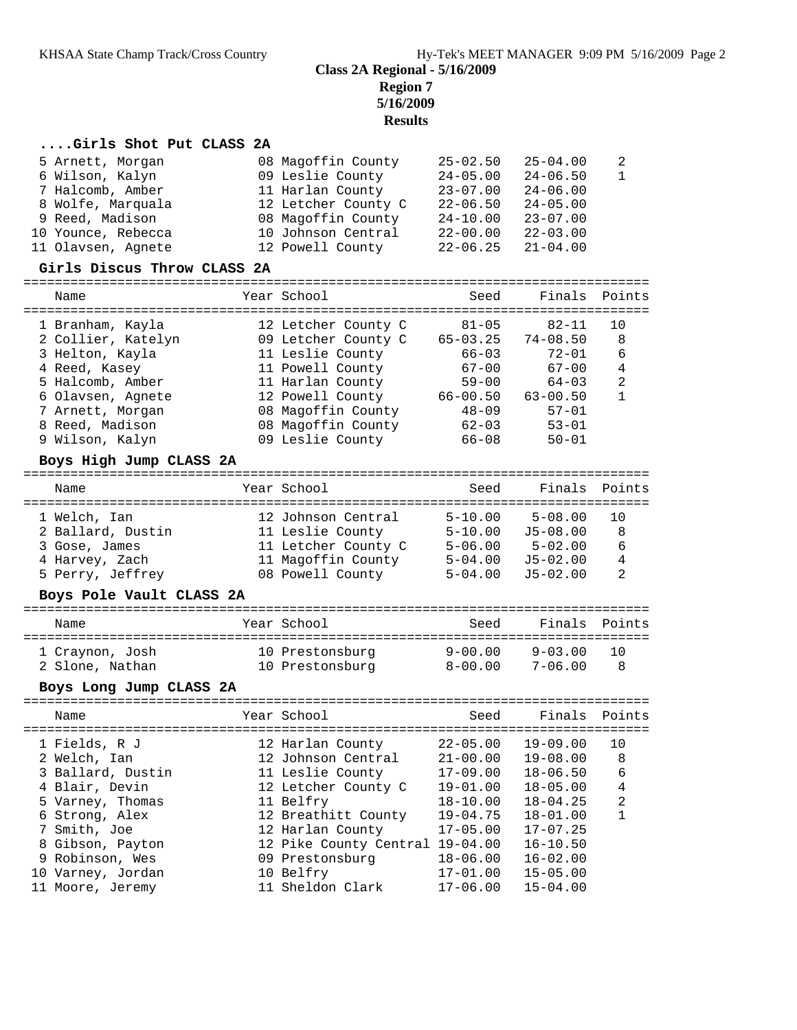#### **Class 2A Regional - 5/16/2009**

**Region 7**

**5/16/2009**

**Results**

| Girls Shot Put CLASS 2A |  |  |  |  |  |  |
|-------------------------|--|--|--|--|--|--|
|-------------------------|--|--|--|--|--|--|

|   | 5 Arnett, Morgan<br>6 Wilson, Kalyn<br>7 Halcomb, Amber<br>8 Wolfe, Marquala<br>9 Reed, Madison<br>10 Younce, Rebecca<br>11 Olavsen, Agnete | 08 Magoffin County<br>09 Leslie County<br>11 Harlan County<br>12 Letcher County C<br>08 Magoffin County<br>10 Johnson Central<br>12 Powell County | $25 - 02.50$<br>$24 - 05.00$<br>$23 - 07.00$<br>$22 - 06.50$<br>$24 - 10.00$<br>$22 - 00.00$<br>$22 - 06.25$ | $25 - 04.00$<br>$24 - 06.50$<br>$24 - 06.00$<br>$24 - 05.00$<br>$23 - 07.00$<br>$22 - 03.00$<br>$21 - 04.00$ | 2<br>$\mathbf{1}$ |
|---|---------------------------------------------------------------------------------------------------------------------------------------------|---------------------------------------------------------------------------------------------------------------------------------------------------|--------------------------------------------------------------------------------------------------------------|--------------------------------------------------------------------------------------------------------------|-------------------|
|   | Girls Discus Throw CLASS 2A                                                                                                                 |                                                                                                                                                   |                                                                                                              |                                                                                                              |                   |
|   |                                                                                                                                             |                                                                                                                                                   |                                                                                                              |                                                                                                              |                   |
|   | Name                                                                                                                                        | Year School                                                                                                                                       | Seed                                                                                                         | Finals                                                                                                       | Points            |
|   | 1 Branham, Kayla                                                                                                                            | 12 Letcher County C                                                                                                                               | $81 - 05$                                                                                                    | $82 - 11$                                                                                                    | 10                |
|   | 2 Collier, Katelyn                                                                                                                          | 09 Letcher County C                                                                                                                               | $65 - 03.25$                                                                                                 | $74 - 08.50$                                                                                                 | 8                 |
|   | 3 Helton, Kayla                                                                                                                             | 11 Leslie County                                                                                                                                  | $66 - 03$                                                                                                    | $72 - 01$                                                                                                    | 6                 |
|   | 4 Reed, Kasey                                                                                                                               | 11 Powell County                                                                                                                                  | $67 - 00$                                                                                                    | $67 - 00$                                                                                                    | $\overline{4}$    |
|   | 5 Halcomb, Amber                                                                                                                            | 11 Harlan County                                                                                                                                  | $59 - 00$                                                                                                    | $64 - 03$                                                                                                    | $\overline{c}$    |
|   | 6 Olavsen, Agnete                                                                                                                           | 12 Powell County                                                                                                                                  | $66 - 00.50$                                                                                                 | $63 - 00.50$                                                                                                 | $\mathbf{1}$      |
|   | 7 Arnett, Morgan                                                                                                                            | 08 Magoffin County                                                                                                                                | $48 - 09$                                                                                                    | $57 - 01$                                                                                                    |                   |
|   | 8 Reed, Madison                                                                                                                             | 08 Magoffin County                                                                                                                                | $62 - 03$                                                                                                    | $53 - 01$                                                                                                    |                   |
|   | 9 Wilson, Kalyn                                                                                                                             | 09 Leslie County                                                                                                                                  | $66 - 08$                                                                                                    | $50 - 01$                                                                                                    |                   |
|   | Boys High Jump CLASS 2A                                                                                                                     |                                                                                                                                                   |                                                                                                              |                                                                                                              |                   |
|   | Name                                                                                                                                        | Year School                                                                                                                                       | Seed                                                                                                         | Finals                                                                                                       | Points            |
|   |                                                                                                                                             |                                                                                                                                                   |                                                                                                              |                                                                                                              |                   |
|   | 1 Welch, Ian                                                                                                                                | 12 Johnson Central                                                                                                                                | $5 - 10.00$                                                                                                  | $5 - 08.00$                                                                                                  | 10                |
|   | 2 Ballard, Dustin                                                                                                                           | 11 Leslie County                                                                                                                                  | $5 - 10.00$                                                                                                  | $J5 - 08.00$                                                                                                 | 8                 |
|   | 3 Gose, James                                                                                                                               | 11 Letcher County C                                                                                                                               | $5 - 06.00$                                                                                                  | $5 - 02.00$                                                                                                  | 6                 |
|   | 4 Harvey, Zach                                                                                                                              | 11 Magoffin County<br>08 Powell County                                                                                                            | $5 - 04.00$<br>$5 - 04.00$                                                                                   | $J5 - 02.00$<br>$J5 - 02.00$                                                                                 | 4<br>2            |
|   | 5 Perry, Jeffrey                                                                                                                            |                                                                                                                                                   |                                                                                                              |                                                                                                              |                   |
|   | Boys Pole Vault CLASS 2A                                                                                                                    |                                                                                                                                                   |                                                                                                              |                                                                                                              |                   |
|   | Name                                                                                                                                        | Year School                                                                                                                                       | Seed                                                                                                         | Finals                                                                                                       | Points            |
|   | 1 Craynon, Josh                                                                                                                             | 10 Prestonsburg                                                                                                                                   | $9 - 00.00$                                                                                                  | $9 - 03.00$                                                                                                  | 10                |
|   | 2 Slone, Nathan                                                                                                                             | 10 Prestonsburg                                                                                                                                   | $8 - 00.00$                                                                                                  | $7 - 06.00$                                                                                                  | 8                 |
|   | Boys Long Jump CLASS 2A                                                                                                                     |                                                                                                                                                   |                                                                                                              |                                                                                                              |                   |
|   |                                                                                                                                             |                                                                                                                                                   |                                                                                                              |                                                                                                              |                   |
|   | Name                                                                                                                                        | Year School                                                                                                                                       | Seed                                                                                                         | Finals                                                                                                       | Points            |
|   | 1 Fields, R J                                                                                                                               | 12 Harlan County                                                                                                                                  | $22 - 05.00$                                                                                                 | $19 - 09.00$                                                                                                 | 10                |
|   | 2 Welch, Ian                                                                                                                                | 12 Johnson Central                                                                                                                                | $21 - 00.00$                                                                                                 | $19 - 08.00$                                                                                                 | 8                 |
|   | 3 Ballard, Dustin                                                                                                                           | 11 Leslie County                                                                                                                                  | $17 - 09.00$                                                                                                 | $18 - 06.50$                                                                                                 | 6                 |
|   | 4 Blair, Devin                                                                                                                              | 12 Letcher County C                                                                                                                               | $19 - 01.00$                                                                                                 | $18 - 05.00$                                                                                                 | 4                 |
|   | 5 Varney, Thomas                                                                                                                            | 11 Belfry                                                                                                                                         | $18 - 10.00$                                                                                                 | $18 - 04.25$                                                                                                 | 2                 |
|   | 6 Strong, Alex                                                                                                                              | 12 Breathitt County                                                                                                                               | $19 - 04.75$                                                                                                 | $18 - 01.00$                                                                                                 | 1                 |
| 7 | Smith, Joe                                                                                                                                  | 12 Harlan County                                                                                                                                  | $17 - 05.00$                                                                                                 | $17 - 07.25$                                                                                                 |                   |
|   | 8 Gibson, Payton                                                                                                                            | 12 Pike County Central 19-04.00                                                                                                                   |                                                                                                              | $16 - 10.50$                                                                                                 |                   |
|   | 9 Robinson, Wes                                                                                                                             | 09 Prestonsburg<br>10 Belfry                                                                                                                      | $18 - 06.00$<br>$17 - 01.00$                                                                                 | $16 - 02.00$                                                                                                 |                   |
|   | 10 Varney, Jordan<br>11 Moore, Jeremy                                                                                                       | 11 Sheldon Clark                                                                                                                                  | $17 - 06.00$                                                                                                 | $15 - 05.00$<br>$15 - 04.00$                                                                                 |                   |
|   |                                                                                                                                             |                                                                                                                                                   |                                                                                                              |                                                                                                              |                   |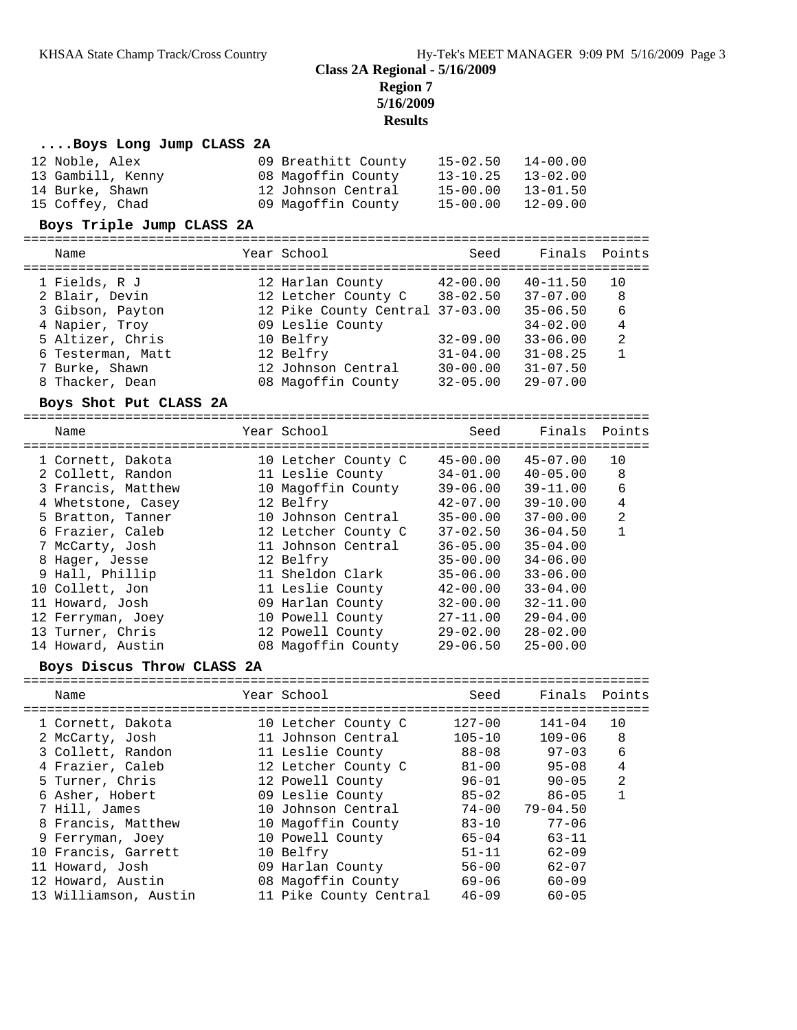### **Class 2A Regional - 5/16/2009 Region 7 5/16/2009 Results**

#### **....Boys Long Jump CLASS 2A** 12 Noble, Alex 09 Breathitt County 15-02.50 14-00.00 13 Gambill, Kenny 08 Magoffin County 13-10.25 13-02.00 14 Burke, Shawn 12 Johnson Central 15-00.00 13-01.50 15 Coffey, Chad 09 Magoffin County 15-00.00 12-09.00 **Boys Triple Jump CLASS 2A** ================================================================================ Name Year School Seed Finals Points ================================================================================ 1 Fields, R J 12 Harlan County 42-00.00 40-11.50 10 2 Blair, Devin 12 Letcher County C 38-02.50 37-07.00 8 3 Gibson, Payton 12 Pike County Central 37-03.00 35-06.50 6 4 Napier, Troy 09 Leslie County 34-02.00 4 5 Altizer, Chris 10 Belfry 32-09.00 33-06.00 2 6 Testerman, Matt 12 Belfry 31-04.00 31-08.25 1 7 Burke, Shawn 12 Johnson Central 30-00.00 31-07.50 8 Thacker, Dean 08 Magoffin County 32-05.00 29-07.00 **Boys Shot Put CLASS 2A** ================================================================================ Name Year School Seed Finals Points ================================================================================ 1 Cornett, Dakota 10 Letcher County C 45-00.00 45-07.00 10 2 Collett, Randon 11 Leslie County 34-01.00 40-05.00 8 3 Francis, Matthew 10 Magoffin County 39-06.00 39-11.00 6 4 Whetstone, Casey 12 Belfry 42-07.00 39-10.00 4 5 Bratton, Tanner 10 Johnson Central 35-00.00 37-00.00 2 6 Frazier, Caleb 12 Letcher County C 37-02.50 36-04.50 1 7 McCarty, Josh 11 Johnson Central 36-05.00 35-04.00 8 Hager, Jesse 12 Belfry 35-00.00 34-06.00 9 Hall, Phillip 11 Sheldon Clark 35-06.00 33-06.00 10 Collett, Jon 11 Leslie County 42-00.00 33-04.00 11 Howard, Josh 09 Harlan County 32-00.00 32-11.00 12 Ferryman, Joey 10 Powell County 27-11.00 29-04.00 13 Turner, Chris 12 Powell County 29-02.00 28-02.00 14 Howard, Austin 08 Magoffin County 29-06.50 25-00.00 **Boys Discus Throw CLASS 2A** ================================================================================ Name The Year School Seed Finals Points ================================================================================ 1 Cornett, Dakota 10 Letcher County C 127-00 141-04 10 2 McCarty, Josh 11 Johnson Central 105-10 109-06 8 3 Collett, Randon 11 Leslie County 88-08 97-03 6 4 Frazier, Caleb 12 Letcher County C 81-00 95-08 4 5 Turner, Chris 12 Powell County 96-01 90-05 2 6 Asher, Hobert 09 Leslie County 85-02 86-05 1 7 Hill, James 10 Johnson Central 74-00 79-04.50 8 Francis, Matthew 10 Magoffin County 83-10 77-06 9 Ferryman, Joey 10 Powell County 65-04 63-11 10 Francis, Garrett 10 Belfry 51-11 62-09 11 Howard, Josh 09 Harlan County 56-00 62-07 12 Howard, Austin 08 Magoffin County 69-06 60-09 13 Williamson, Austin 11 Pike County Central 46-09 60-05